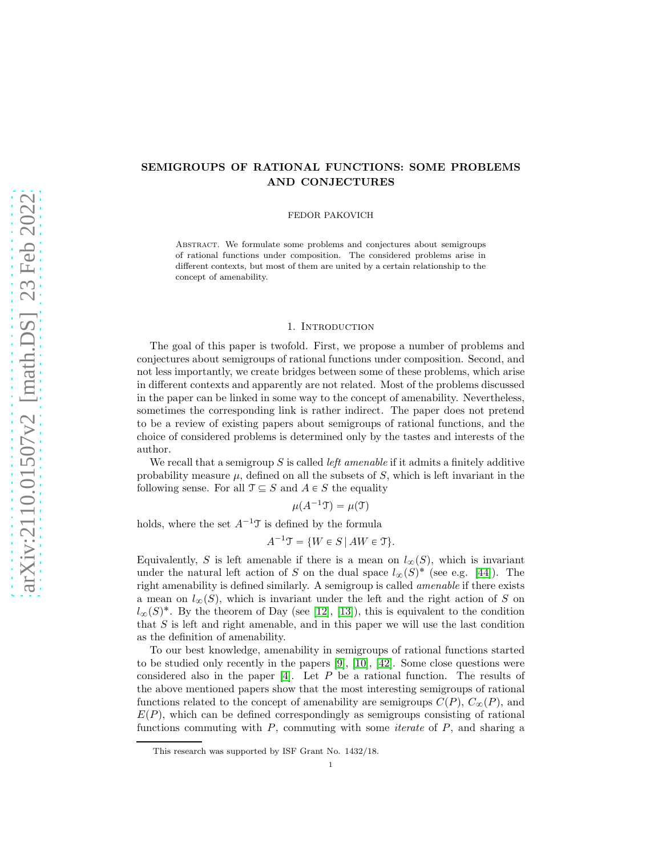# SEMIGROUPS OF RATIONAL FUNCTIONS: SOME PROBLEMS AND CONJECTURES

FEDOR PAKOVICH

Abstract. We formulate some problems and conjectures about semigroups of rational functions under composition. The considered problems arise in different contexts, but most of them are united by a certain relationship to the concept of amenability.

## 1. INTRODUCTION

The goal of this paper is twofold. First, we propose a number of problems and conjectures about semigroups of rational functions under composition. Second, and not less importantly, we create bridges between some of these problems, which arise in different contexts and apparently are not related. Most of the problems discussed in the paper can be linked in some way to the concept of amenability. Nevertheless, sometimes the corresponding link is rather indirect. The paper does not pretend to be a review of existing papers about semigroups of rational functions, and the choice of considered problems is determined only by the tastes and interests of the author.

We recall that a semigroup  $S$  is called *left amenable* if it admits a finitely additive probability measure  $\mu$ , defined on all the subsets of S, which is left invariant in the following sense. For all  $\mathfrak{T} \subseteq S$  and  $A \in S$  the equality

 $\mu(A^{-1}\mathfrak{T}) = \mu(\mathfrak{T})$ 

holds, where the set  $A^{-1}\mathcal{T}$  is defined by the formula

 $A^{-1}\mathcal{T} = \{W \in S \mid AW \in \mathcal{T}\}.$ 

Equivalently, S is left amenable if there is a mean on  $l_{\infty}(S)$ , which is invariant under the natural left action of S on the dual space  $l_{\infty}(S)^*$  (see e.g. [\[44\]](#page-11-0)). The right amenability is defined similarly. A semigroup is called amenable if there exists a mean on  $l_{\infty}(S)$ , which is invariant under the left and the right action of S on  $l_{\infty}(S)^*$ . By the theorem of Day (see [\[12\]](#page-10-0), [\[13\]](#page-10-1)), this is equivalent to the condition that S is left and right amenable, and in this paper we will use the last condition as the definition of amenability.

To our best knowledge, amenability in semigroups of rational functions started to be studied only recently in the papers [\[9\]](#page-10-2), [\[10\]](#page-10-3), [\[42\]](#page-11-1). Some close questions were considered also in the paper [\[4\]](#page-10-4). Let  $P$  be a rational function. The results of the above mentioned papers show that the most interesting semigroups of rational functions related to the concept of amenability are semigroups  $C(P)$ ,  $C_{\infty}(P)$ , and  $E(P)$ , which can be defined correspondingly as semigroups consisting of rational functions commuting with  $P$ , commuting with some *iterate* of  $P$ , and sharing a

This research was supported by ISF Grant No. 1432/18.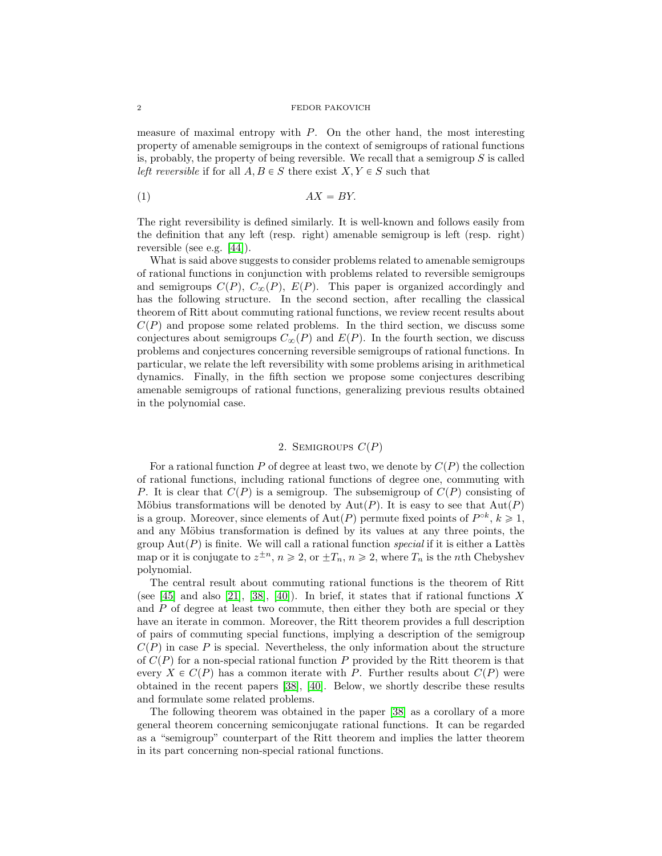#### 2 FEDOR PAKOVICH

measure of maximal entropy with  $P$ . On the other hand, the most interesting property of amenable semigroups in the context of semigroups of rational functions is, probably, the property of being reversible. We recall that a semigroup  $S$  is called left reversible if for all  $A, B \in S$  there exist  $X, Y \in S$  such that

<span id="page-1-0"></span>
$$
(1) \t\t AX = BY.
$$

The right reversibility is defined similarly. It is well-known and follows easily from the definition that any left (resp. right) amenable semigroup is left (resp. right) reversible (see e.g. [\[44\]](#page-11-0)).

What is said above suggests to consider problems related to amenable semigroups of rational functions in conjunction with problems related to reversible semigroups and semigroups  $C(P)$ ,  $C_{\infty}(P)$ ,  $E(P)$ . This paper is organized accordingly and has the following structure. In the second section, after recalling the classical theorem of Ritt about commuting rational functions, we review recent results about  $C(P)$  and propose some related problems. In the third section, we discuss some conjectures about semigroups  $C_{\infty}(P)$  and  $E(P)$ . In the fourth section, we discuss problems and conjectures concerning reversible semigroups of rational functions. In particular, we relate the left reversibility with some problems arising in arithmetical dynamics. Finally, in the fifth section we propose some conjectures describing amenable semigroups of rational functions, generalizing previous results obtained in the polynomial case.

## 2. SEMIGROUPS  $C(P)$

For a rational function P of degree at least two, we denote by  $C(P)$  the collection of rational functions, including rational functions of degree one, commuting with P. It is clear that  $C(P)$  is a semigroup. The subsemigroup of  $C(P)$  consisting of Möbius transformations will be denoted by  $Aut(P)$ . It is easy to see that  $Aut(P)$ is a group. Moreover, since elements of  $Aut(P)$  permute fixed points of  $P^{\circ k}$ ,  $k \geq 1$ , and any Möbius transformation is defined by its values at any three points, the group  $Aut(P)$  is finite. We will call a rational function special if it is either a Lattes map or it is conjugate to  $z^{\pm n}$ ,  $n \ge 2$ , or  $\pm T_n$ ,  $n \ge 2$ , where  $T_n$  is the *n*th Chebyshev polynomial.

The central result about commuting rational functions is the theorem of Ritt (see [\[45\]](#page-11-2) and also [\[21\]](#page-11-3), [\[38\]](#page-11-4), [\[40\]](#page-11-5)). In brief, it states that if rational functions X and  $P$  of degree at least two commute, then either they both are special or they have an iterate in common. Moreover, the Ritt theorem provides a full description of pairs of commuting special functions, implying a description of the semigroup  $C(P)$  in case P is special. Nevertheless, the only information about the structure of  $C(P)$  for a non-special rational function P provided by the Ritt theorem is that every  $X \in C(P)$  has a common iterate with P. Further results about  $C(P)$  were obtained in the recent papers [\[38\]](#page-11-4), [\[40\]](#page-11-5). Below, we shortly describe these results and formulate some related problems.

The following theorem was obtained in the paper [\[38\]](#page-11-4) as a corollary of a more general theorem concerning semiconjugate rational functions. It can be regarded as a "semigroup" counterpart of the Ritt theorem and implies the latter theorem in its part concerning non-special rational functions.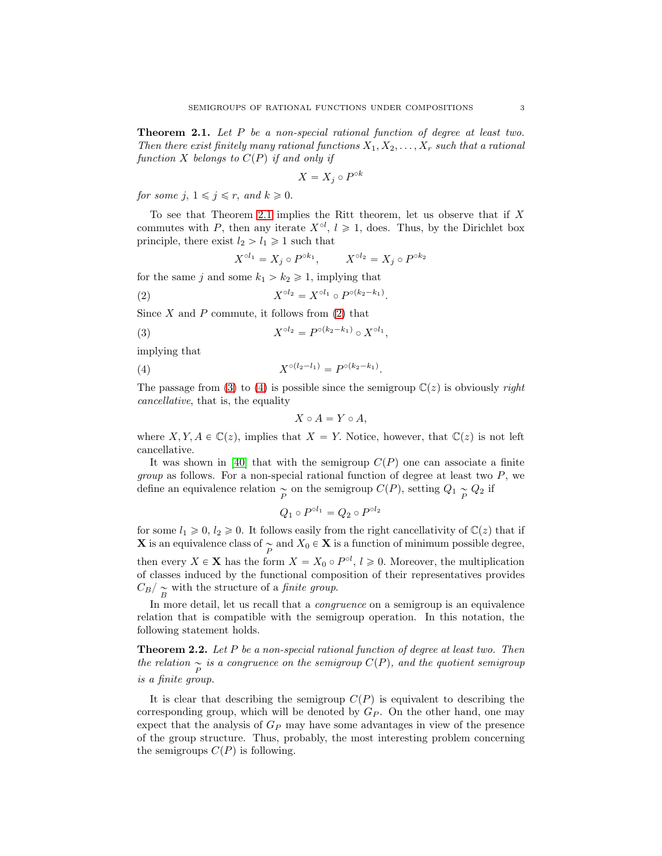<span id="page-2-0"></span>**Theorem 2.1.** Let  $P$  be a non-special rational function of degree at least two. Then there exist finitely many rational functions  $X_1, X_2, \ldots, X_r$  such that a rational function X belongs to  $C(P)$  if and only if

$$
X = X_j \circ P^{\circ k}
$$

for some j,  $1 \leq j \leq r$ , and  $k \geq 0$ .

To see that Theorem [2.1](#page-2-0) implies the Ritt theorem, let us observe that if  $X$ commutes with P, then any iterate  $X^{\circ l}$ ,  $l \geq 1$ , does. Thus, by the Dirichlet box principle, there exist  $l_2 > l_1 \geq 1$  such that

$$
X^{\circ l_1} = X_j \circ P^{\circ k_1}, \qquad X^{\circ l_2} = X_j \circ P^{\circ k_2}
$$

for the same j and some  $k_1 > k_2 \geq 1$ , implying that

<span id="page-2-1"></span>(2) 
$$
X^{\circ l_2} = X^{\circ l_1} \circ P^{\circ (k_2 - k_1)}.
$$

Since  $X$  and  $P$  commute, it follows from  $(2)$  that

<span id="page-2-2"></span>(3) 
$$
X^{\circ l_2} = P^{\circ (k_2 - k_1)} \circ X^{\circ l_1},
$$

implying that

<span id="page-2-3"></span>(4) 
$$
X^{\circ (l_2 - l_1)} = P^{\circ (k_2 - k_1)}.
$$

The passage from [\(3\)](#page-2-2) to [\(4\)](#page-2-3) is possible since the semigroup  $\mathbb{C}(z)$  is obviously *right* cancellative, that is, the equality

$$
X \circ A = Y \circ A,
$$

where  $X, Y, A \in \mathbb{C}(z)$ , implies that  $X = Y$ . Notice, however, that  $\mathbb{C}(z)$  is not left cancellative.

It was shown in [\[40\]](#page-11-5) that with the semigroup  $C(P)$  one can associate a finite *group* as follows. For a non-special rational function of degree at least two  $P$ , we define an equivalence relation  $\underset{P}{\sim}$  on the semigroup  $C(P)$ , setting  $Q_1 \underset{P}{\sim} Q_2$  if

$$
Q_1 \circ P^{\circ l_1} = Q_2 \circ P^{\circ l_2}
$$

for some  $l_1 \geq 0$ ,  $l_2 \geq 0$ . It follows easily from the right cancellativity of  $\mathbb{C}(z)$  that if **X** is an equivalence class of  $\underset{P}{\sim}$  and  $X_0 \in \mathbf{X}$  is a function of minimum possible degree, then every  $X \in \mathbf{X}$  has the form  $X = X_0 \circ P^{\circ l}$ ,  $l \geqslant 0$ . Moreover, the multiplication of classes induced by the functional composition of their representatives provides  $\binom{C_B}{B}$  with the structure of a *finite group*.

In more detail, let us recall that a *congruence* on a semigroup is an equivalence relation that is compatible with the semigroup operation. In this notation, the following statement holds.

**Theorem 2.2.** Let P be a non-special rational function of degree at least two. Then the relation  $\sum_{P}$  is a congruence on the semigroup  $C(P)$ , and the quotient semigroup is a finite group.

It is clear that describing the semigroup  $C(P)$  is equivalent to describing the corresponding group, which will be denoted by  $G_P$ . On the other hand, one may expect that the analysis of  $G_P$  may have some advantages in view of the presence of the group structure. Thus, probably, the most interesting problem concerning the semigroups  $C(P)$  is following.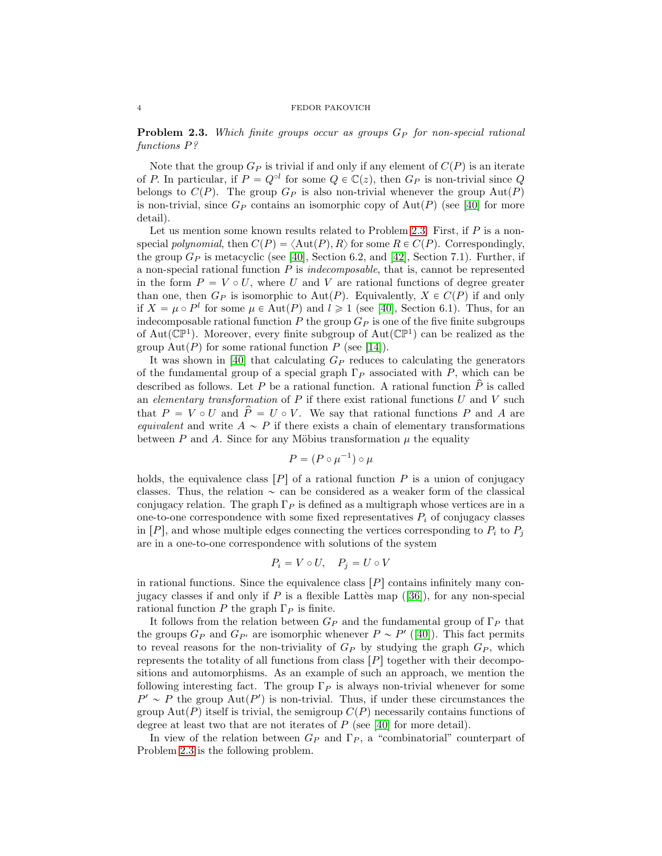<span id="page-3-0"></span>**Problem 2.3.** Which finite groups occur as groups  $G_P$  for non-special rational functions P?

Note that the group  $G_P$  is trivial if and only if any element of  $C(P)$  is an iterate of P. In particular, if  $P = Q^{\circ l}$  for some  $Q \in \mathbb{C}(z)$ , then  $G_P$  is non-trivial since Q belongs to  $C(P)$ . The group  $G_P$  is also non-trivial whenever the group  $Aut(P)$ is non-trivial, since  $G_P$  contains an isomorphic copy of Aut $(P)$  (see [\[40\]](#page-11-5) for more detail).

Let us mention some known results related to Problem [2.3.](#page-3-0) First, if  $P$  is a nonspecial polynomial, then  $C(P) = \langle \text{Aut}(P), R \rangle$  for some  $R \in C(P)$ . Correspondingly, the group  $G_P$  is metacyclic (see [\[40\]](#page-11-5), Section 6.2, and [\[42\]](#page-11-1), Section 7.1). Further, if a non-special rational function  $P$  is *indecomposable*, that is, cannot be represented in the form  $P = V \circ U$ , where U and V are rational functions of degree greater than one, then  $G_P$  is isomorphic to Aut $(P)$ . Equivalently,  $X \in C(P)$  if and only if  $X = \mu \circ P^l$  for some  $\mu \in \text{Aut}(P)$  and  $l \geq 1$  (see [\[40\]](#page-11-5), Section 6.1). Thus, for an indecomposable rational function  $P$  the group  $G_P$  is one of the five finite subgroups of Aut( $\mathbb{CP}^1$ ). Moreover, every finite subgroup of Aut( $\mathbb{CP}^1$ ) can be realized as the group  $\text{Aut}(P)$  for some rational function P (see [\[14\]](#page-10-5)).

It was shown in [\[40\]](#page-11-5) that calculating  $G_P$  reduces to calculating the generators of the fundamental group of a special graph  $\Gamma_P$  associated with P, which can be described as follows. Let P be a rational function. A rational function  $\hat{P}$  is called an elementary transformation of  $P$  if there exist rational functions  $U$  and  $V$  such that  $P = V \circ U$  and  $\hat{P} = U \circ V$ . We say that rational functions P and A are equivalent and write  $A \sim P$  if there exists a chain of elementary transformations between P and A. Since for any Möbius transformation  $\mu$  the equality

$$
P = (P \circ \mu^{-1}) \circ \mu
$$

holds, the equivalence class  $[P]$  of a rational function P is a union of conjugacy classes. Thus, the relation  $\sim$  can be considered as a weaker form of the classical conjugacy relation. The graph  $\Gamma_P$  is defined as a multigraph whose vertices are in a one-to-one correspondence with some fixed representatives  $P_i$  of conjugacy classes in  $[P]$ , and whose multiple edges connecting the vertices corresponding to  $P_i$  to  $P_j$ are in a one-to-one correspondence with solutions of the system

$$
P_i = V \circ U, \quad P_j = U \circ V
$$

in rational functions. Since the equivalence class  $[P]$  contains infinitely many conjugacyclasses if and only if P is a flexible Latter map  $([36])$  $([36])$  $([36])$ , for any non-special rational function P the graph  $\Gamma_P$  is finite.

It follows from the relation between  $G_P$  and the fundamental group of  $\Gamma_P$  that the groups  $G_P$  and  $G_{P'}$  are isomorphic whenever  $P \sim P'$  ([\[40\]](#page-11-5)). This fact permits to reveal reasons for the non-triviality of  $G_P$  by studying the graph  $G_P$ , which represents the totality of all functions from class  $[P]$  together with their decompositions and automorphisms. As an example of such an approach, we mention the following interesting fact. The group  $\Gamma_P$  is always non-trivial whenever for some  $P' \sim P$  the group  $\text{Aut}(P')$  is non-trivial. Thus, if under these circumstances the group Aut $(P)$  itself is trivial, the semigroup  $C(P)$  necessarily contains functions of degree at least two that are not iterates of  $P$  (see [\[40\]](#page-11-5) for more detail).

In view of the relation between  $G_P$  and  $\Gamma_P$ , a "combinatorial" counterpart of Problem [2.3](#page-3-0) is the following problem.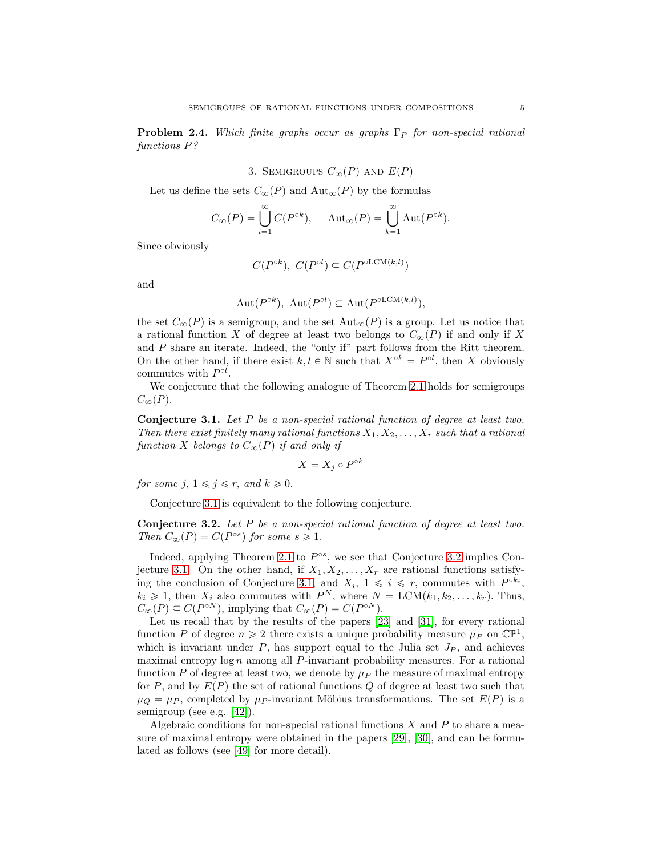**Problem 2.4.** Which finite graphs occur as graphs  $\Gamma_P$  for non-special rational functions P?

3. SEMIGROUPS 
$$
C_{\infty}(P)
$$
 and  $E(P)$ 

Let us define the sets  $C_{\infty}(P)$  and  $\text{Aut}_{\infty}(P)$  by the formulas

$$
C_{\infty}(P) = \bigcup_{i=1}^{\infty} C(P^{\circ k}), \quad \text{Aut}_{\infty}(P) = \bigcup_{k=1}^{\infty} \text{Aut}(P^{\circ k}).
$$

Since obviously

$$
C(P^{\circ k}),\ C(P^{\circ l}) \subseteq C(P^{\circ \text{LCM}(k,l)})
$$

and

$$
Aut(P^{\circ k}), Aut(P^{\circ l}) \subseteq Aut(P^{\circ LCM(k,l)}),
$$

the set  $C_{\infty}(P)$  is a semigroup, and the set  $\text{Aut}_{\infty}(P)$  is a group. Let us notice that a rational function X of degree at least two belongs to  $C_{\infty}(P)$  if and only if X and P share an iterate. Indeed, the "only if" part follows from the Ritt theorem. On the other hand, if there exist  $k, l \in \mathbb{N}$  such that  $X^{\circ k} = P^{\circ l}$ , then X obviously commutes with  $P^{\circ l}$ .

We conjecture that the following analogue of Theorem [2.1](#page-2-0) holds for semigroups  $C_{\infty}(P)$ .

<span id="page-4-0"></span>Conjecture 3.1. Let P be a non-special rational function of degree at least two. Then there exist finitely many rational functions  $X_1, X_2, \ldots, X_r$  such that a rational function X belongs to  $C_{\infty}(P)$  if and only if

$$
X = X_j \circ P^{\circ k}
$$

for some j,  $1 \leq j \leq r$ , and  $k \geq 0$ .

Conjecture [3.1](#page-4-0) is equivalent to the following conjecture.

<span id="page-4-1"></span>Conjecture 3.2. Let P be a non-special rational function of degree at least two. Then  $C_{\infty}(P) = C(P^{\circ s})$  for some  $s \geq 1$ .

Indeed, applying Theorem [2.1](#page-2-0) to  $P^{\circ s}$ , we see that Conjecture [3.2](#page-4-1) implies Con-jecture [3.1.](#page-4-0) On the other hand, if  $X_1, X_2, \ldots, X_r$  are rational functions satisfy-ing the conclusion of Conjecture [3.1,](#page-4-0) and  $X_i$ ,  $1 \leq i \leq r$ , commutes with  $P^{\circ k_i}$ ,  $k_i \geq 1$ , then  $X_i$  also commutes with  $P^N$ , where  $N = \text{LCM}(k_1, k_2, \ldots, k_r)$ . Thus,  $C_{\infty}(P) \subseteq C(P^{\circ N})$ , implying that  $C_{\infty}(P) = C(P^{\circ N})$ .

Let us recall that by the results of the papers [\[23\]](#page-11-7) and [\[31\]](#page-11-8), for every rational function P of degree  $n \geq 2$  there exists a unique probability measure  $\mu_P$  on  $\mathbb{CP}^1$ , which is invariant under  $P$ , has support equal to the Julia set  $J_P$ , and achieves maximal entropy  $\log n$  among all P-invariant probability measures. For a rational function P of degree at least two, we denote by  $\mu_P$  the measure of maximal entropy for P, and by  $E(P)$  the set of rational functions Q of degree at least two such that  $\mu_Q = \mu_P$ , completed by  $\mu_P$ -invariant Möbius transformations. The set  $E(P)$  is a semigroup (see e.g. [\[42\]](#page-11-1)).

Algebraic conditions for non-special rational functions  $X$  and  $P$  to share a measure of maximal entropy were obtained in the papers [\[29\]](#page-11-9), [\[30\]](#page-11-10), and can be formulated as follows (see [\[49\]](#page-11-11) for more detail).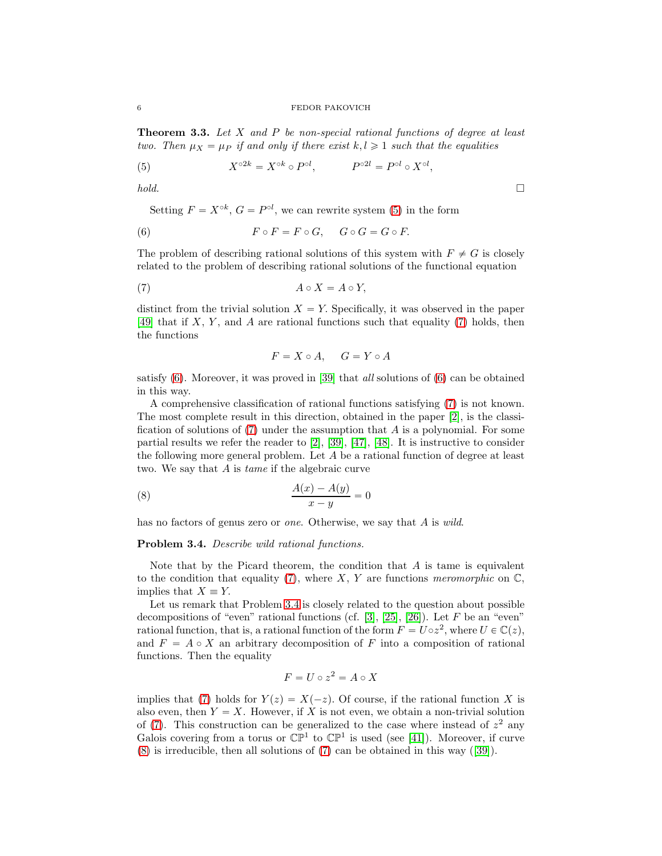<span id="page-5-5"></span>**Theorem 3.3.** Let  $X$  and  $P$  be non-special rational functions of degree at least two. Then  $\mu_X = \mu_P$  if and only if there exist  $k, l \geq 1$  such that the equalities

<span id="page-5-0"></span>(5) 
$$
X^{\circ 2k} = X^{\circ k} \circ P^{\circ l}, \qquad P^{\circ 2l} = P^{\circ l} \circ X^{\circ l},
$$

 $hold.$ 

Setting  $F = X^{\circ k}$ ,  $G = P^{\circ l}$ , we can rewrite system [\(5\)](#page-5-0) in the form

<span id="page-5-2"></span>(6) 
$$
F \circ F = F \circ G, \quad G \circ G = G \circ F.
$$

The problem of describing rational solutions of this system with  $F \neq G$  is closely related to the problem of describing rational solutions of the functional equation

<span id="page-5-1"></span>
$$
(7) \t\t A \circ X = A \circ Y,
$$

distinct from the trivial solution  $X = Y$ . Specifically, it was observed in the paper [\[49\]](#page-11-11) that if  $X, Y$ , and A are rational functions such that equality [\(7\)](#page-5-1) holds, then the functions

$$
F = X \circ A, \quad G = Y \circ A
$$

satisfy  $(6)$ . Moreover, it was proved in [\[39\]](#page-11-12) that *all* solutions of  $(6)$  can be obtained in this way.

A comprehensive classification of rational functions satisfying [\(7\)](#page-5-1) is not known. The most complete result in this direction, obtained in the paper [\[2\]](#page-10-6), is the classification of solutions of  $(7)$  under the assumption that A is a polynomial. For some partial results we refer the reader to  $[2]$ ,  $[39]$ ,  $[47]$ ,  $[48]$ . It is instructive to consider the following more general problem. Let A be a rational function of degree at least two. We say that A is tame if the algebraic curve

<span id="page-5-4"></span>
$$
\frac{A(x) - A(y)}{x - y} = 0
$$

has no factors of genus zero or *one*. Otherwise, we say that A is wild.

#### <span id="page-5-3"></span>Problem 3.4. Describe wild rational functions.

Note that by the Picard theorem, the condition that  $A$  is tame is equivalent to the condition that equality [\(7\)](#page-5-1), where  $X, Y$  are functions meromorphic on  $\mathbb{C},$ implies that  $X \equiv Y$ .

Let us remark that Problem [3.4](#page-5-3) is closely related to the question about possible decompositions of "even" rational functions (cf.  $[3]$ ,  $[25]$ ,  $[26]$ ). Let F be an "even" rational function, that is, a rational function of the form  $F = U \circ z^2$ , where  $U \in \mathbb{C}(z)$ , and  $F = A \circ X$  an arbitrary decomposition of F into a composition of rational functions. Then the equality

$$
F = U \circ z^2 = A \circ X
$$

implies that [\(7\)](#page-5-1) holds for  $Y(z) = X(-z)$ . Of course, if the rational function X is also even, then  $Y = X$ . However, if X is not even, we obtain a non-trivial solution of  $(7)$ . This construction can be generalized to the case where instead of  $z<sup>2</sup>$  any Galois covering from a torus or  $\mathbb{CP}^1$  to  $\mathbb{CP}^1$  is used (see [\[41\]](#page-11-17)). Moreover, if curve [\(8\)](#page-5-4) is irreducible, then all solutions of [\(7\)](#page-5-1) can be obtained in this way([\[39\]](#page-11-12)).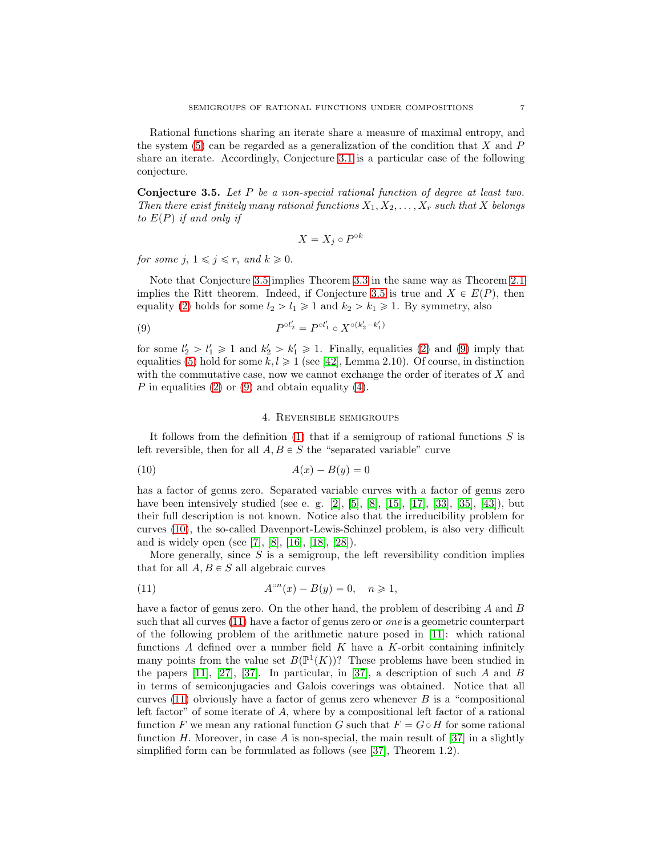Rational functions sharing an iterate share a measure of maximal entropy, and the system  $(5)$  can be regarded as a generalization of the condition that X and P share an iterate. Accordingly, Conjecture [3.1](#page-4-0) is a particular case of the following conjecture.

<span id="page-6-0"></span>Conjecture 3.5. Let P be a non-special rational function of degree at least two. Then there exist finitely many rational functions  $X_1, X_2, \ldots, X_r$  such that X belongs to  $E(P)$  if and only if

$$
X = X_j \circ P^{\circ k}
$$

for some j,  $1 \leq j \leq r$ , and  $k \geq 0$ .

Note that Conjecture [3.5](#page-6-0) implies Theorem [3.3](#page-5-5) in the same way as Theorem [2.1](#page-2-0) implies the Ritt theorem. Indeed, if Conjecture [3.5](#page-6-0) is true and  $X \in E(P)$ , then equality [\(2\)](#page-2-1) holds for some  $l_2 > l_1 \geq 1$  and  $k_2 > k_1 \geq 1$ . By symmetry, also

<span id="page-6-1"></span>(9) 
$$
P^{\circ l_2'} = P^{\circ l_1'} \circ X^{\circ (k_2' - k_1')}
$$

for some  $l'_2 > l'_1 \geq 1$  and  $k'_2 > k'_1 \geq 1$ . Finally, equalities [\(2\)](#page-2-1) and [\(9\)](#page-6-1) imply that equalities [\(5\)](#page-5-0) hold for some  $k, l \geq 1$  (see [\[42\]](#page-11-1), Lemma 2.10). Of course, in distinction with the commutative case, now we cannot exchange the order of iterates of  $X$  and P in equalities  $(2)$  or  $(9)$  and obtain equality  $(4)$ .

## 4. Reversible semigroups

It follows from the definition  $(1)$  that if a semigroup of rational functions S is left reversible, then for all  $A, B \in S$  the "separated variable" curve

<span id="page-6-2"></span>
$$
(10)\qquad \qquad A(x) - B(y) = 0
$$

has a factor of genus zero. Separated variable curves with a factor of genus zero have been intensively studied (see e. g. [\[2\]](#page-10-6), [\[5\]](#page-10-8), [\[8\]](#page-10-9), [\[15\]](#page-10-10), [\[17\]](#page-10-11), [\[33\]](#page-11-18), [\[35\]](#page-11-19), [\[43\]](#page-11-20)), but their full description is not known. Notice also that the irreducibility problem for curves [\(10\)](#page-6-2), the so-called Davenport-Lewis-Schinzel problem, is also very difficult and is widely open (see [\[7\]](#page-10-12), [\[8\]](#page-10-9), [\[16\]](#page-10-13), [\[18\]](#page-10-14), [\[28\]](#page-11-21)).

More generally, since  $S$  is a semigroup, the left reversibility condition implies that for all  $A, B \in S$  all algebraic curves

<span id="page-6-3"></span>(11) 
$$
A^{\circ n}(x) - B(y) = 0, \quad n \ge 1,
$$

have a factor of genus zero. On the other hand, the problem of describing  $A$  and  $B$ such that all curves [\(11\)](#page-6-3) have a factor of genus zero or one is a geometric counterpart of the following problem of the arithmetic nature posed in [\[11\]](#page-10-15): which rational functions  $A$  defined over a number field  $K$  have a  $K$ -orbit containing infinitely many points from the value set  $B(\mathbb{P}^1(K))$ ? These problems have been studied in the papers [\[11\]](#page-10-15), [\[27\]](#page-11-22), [\[37\]](#page-11-23). In particular, in [37], a description of such A and B in terms of semiconjugacies and Galois coverings was obtained. Notice that all curves  $(11)$  obviously have a factor of genus zero whenever B is a "compositional" left factor" of some iterate of A, where by a compositional left factor of a rational function F we mean any rational function G such that  $F = G \circ H$  for some rational function H. Moreover, in case A is non-special, the main result of  $|37|$  in a slightly simplified form can be formulated as follows (see [\[37\]](#page-11-23), Theorem 1.2).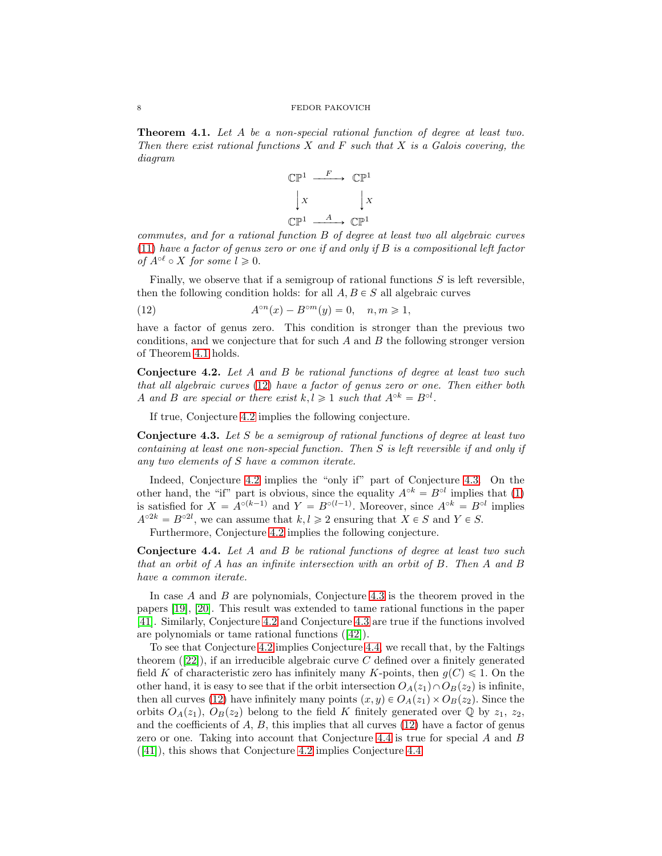<span id="page-7-0"></span>Theorem 4.1. Let A be a non-special rational function of degree at least two. Then there exist rational functions  $X$  and  $F$  such that  $X$  is a Galois covering, the diagram



commutes, and for a rational function B of degree at least two all algebraic curves  $(11)$  have a factor of genus zero or one if and only if B is a compositional left factor of  $A^{\circ \ell} \circ X$  for some  $l \geq 0$ .

Finally, we observe that if a semigroup of rational functions  $S$  is left reversible, then the following condition holds: for all  $A, B \in S$  all algebraic curves

<span id="page-7-1"></span>(12) 
$$
A^{\circ n}(x) - B^{\circ m}(y) = 0, \quad n, m \ge 1,
$$

have a factor of genus zero. This condition is stronger than the previous two conditions, and we conjecture that for such A and B the following stronger version of Theorem [4.1](#page-7-0) holds.

<span id="page-7-2"></span>Conjecture 4.2. Let A and B be rational functions of degree at least two such that all algebraic curves [\(12\)](#page-7-1) have a factor of genus zero or one. Then either both A and B are special or there exist  $k, l \geq 1$  such that  $A^{\circ k} = B^{\circ l}$ .

If true, Conjecture [4.2](#page-7-2) implies the following conjecture.

<span id="page-7-3"></span>Conjecture 4.3. Let S be a semigroup of rational functions of degree at least two containing at least one non-special function. Then S is left reversible if and only if any two elements of S have a common iterate.

Indeed, Conjecture [4.2](#page-7-2) implies the "only if" part of Conjecture [4.3.](#page-7-3) On the other hand, the "if" part is obvious, since the equality  $A^{\circ k} = B^{\circ l}$  implies that [\(1\)](#page-1-0) is satisfied for  $X = A^{\circ(k-1)}$  and  $Y = B^{\circ(l-1)}$ . Moreover, since  $A^{\circ k} = B^{\circ l}$  implies  $A^{\circ 2k} = B^{\circ 2l}$ , we can assume that  $k, l \geq 2$  ensuring that  $X \in S$  and  $Y \in S$ .

Furthermore, Conjecture [4.2](#page-7-2) implies the following conjecture.

<span id="page-7-4"></span>Conjecture 4.4. Let A and B be rational functions of degree at least two such that an orbit of A has an infinite intersection with an orbit of B. Then A and B have a common iterate.

In case A and B are polynomials, Conjecture [4.3](#page-7-3) is the theorem proved in the papers [\[19\]](#page-10-16), [\[20\]](#page-10-17). This result was extended to tame rational functions in the paper [\[41\]](#page-11-17). Similarly, Conjecture [4.2](#page-7-2) and Conjecture [4.3](#page-7-3) are true if the functions involved are polynomials or tame rational functions([\[42\]](#page-11-1)).

To see that Conjecture [4.2](#page-7-2) implies Conjecture [4.4,](#page-7-4) we recall that, by the Faltings theorem $([22])$  $([22])$  $([22])$ , if an irreducible algebraic curve C defined over a finitely generated field K of characteristic zero has infinitely many K-points, then  $q(C) \leq 1$ . On the other hand, it is easy to see that if the orbit intersection  $O_A(z_1) \cap O_B(z_2)$  is infinite, then all curves [\(12\)](#page-7-1) have infinitely many points  $(x, y) \in O<sub>A</sub>(z<sub>1</sub>) \times O<sub>B</sub>(z<sub>2</sub>)$ . Since the orbits  $O_A(z_1), O_B(z_2)$  belong to the field K finitely generated over Q by  $z_1, z_2$ , and the coefficients of  $A, B$ , this implies that all curves  $(12)$  have a factor of genus zero or one. Taking into account that Conjecture [4.4](#page-7-4) is true for special A and B ([\[41\]](#page-11-17)), this shows that Conjecture [4.2](#page-7-2) implies Conjecture [4.4.](#page-7-4)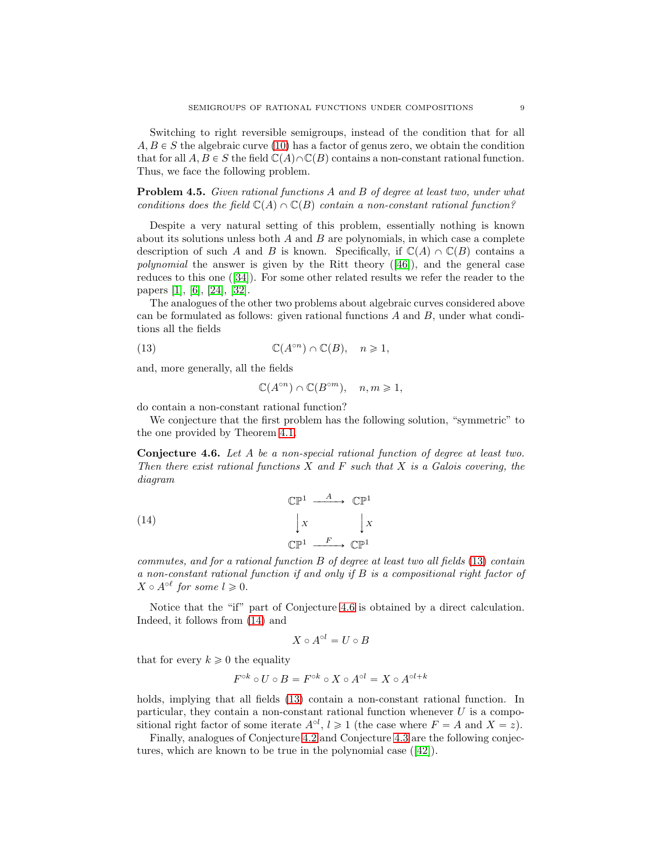Switching to right reversible semigroups, instead of the condition that for all  $A, B \in S$  the algebraic curve [\(10\)](#page-6-2) has a factor of genus zero, we obtain the condition that for all  $A, B \in S$  the field  $\mathbb{C}(A) \cap \mathbb{C}(B)$  contains a non-constant rational function. Thus, we face the following problem.

Problem 4.5. Given rational functions A and B of degree at least two, under what conditions does the field  $\mathbb{C}(A) \cap \mathbb{C}(B)$  contain a non-constant rational function?

Despite a very natural setting of this problem, essentially nothing is known about its solutions unless both  $A$  and  $B$  are polynomials, in which case a complete description of such A and B is known. Specifically, if  $\mathbb{C}(A) \cap \mathbb{C}(B)$  contains a polynomial the answer is given by the Ritt theory([\[46\]](#page-11-25)), and the general case reduces to this one([\[34\]](#page-11-26)). For some other related results we refer the reader to the papers [\[1\]](#page-10-18), [\[6\]](#page-10-19), [\[24\]](#page-11-27), [\[32\]](#page-11-28).

The analogues of the other two problems about algebraic curves considered above can be formulated as follows: given rational functions  $A$  and  $B$ , under what conditions all the fields

<span id="page-8-0"></span>(13) 
$$
\mathbb{C}(A^{\circ n}) \cap \mathbb{C}(B), \quad n \geq 1,
$$

and, more generally, all the fields

$$
\mathbb{C}(A^{\circ n}) \cap \mathbb{C}(B^{\circ m}), \quad n, m \geq 1,
$$

do contain a non-constant rational function?

We conjecture that the first problem has the following solution, "symmetric" to the one provided by Theorem [4.1.](#page-7-0)

<span id="page-8-1"></span>Conjecture 4.6. Let A be a non-special rational function of degree at least two. Then there exist rational functions  $X$  and  $F$  such that  $X$  is a Galois covering, the diagram

<span id="page-8-2"></span>(14) 
$$
\begin{array}{ccc}\n\mathbb{CP}^1 & \xrightarrow{A} & \mathbb{CP}^1 \\
\downarrow x & & \downarrow x \\
\mathbb{CP}^1 & \xrightarrow{F} & \mathbb{CP}^1\n\end{array}
$$

commutes, and for a rational function B of degree at least two all fields [\(13\)](#page-8-0) contain a non-constant rational function if and only if B is a compositional right factor of  $X \circ A^{\circ \ell}$  for some  $l \geqslant 0$ .

Notice that the "if" part of Conjecture [4.6](#page-8-1) is obtained by a direct calculation. Indeed, it follows from [\(14\)](#page-8-2) and

$$
X \circ A^{\circ l} = U \circ B
$$

that for every  $k \geqslant 0$  the equality

$$
F^{\circ k} \circ U \circ B = F^{\circ k} \circ X \circ A^{\circ l} = X \circ A^{\circ l + k}
$$

holds, implying that all fields  $(13)$  contain a non-constant rational function. In particular, they contain a non-constant rational function whenever  $U$  is a compositional right factor of some iterate  $A^{\circ l}$ ,  $l \geq 1$  (the case where  $F = A$  and  $X = z$ ).

Finally, analogues of Conjecture [4.2](#page-7-2) and Conjecture [4.3](#page-7-3) are the following conjectures, which are known to be true in the polynomial case([\[42\]](#page-11-1)).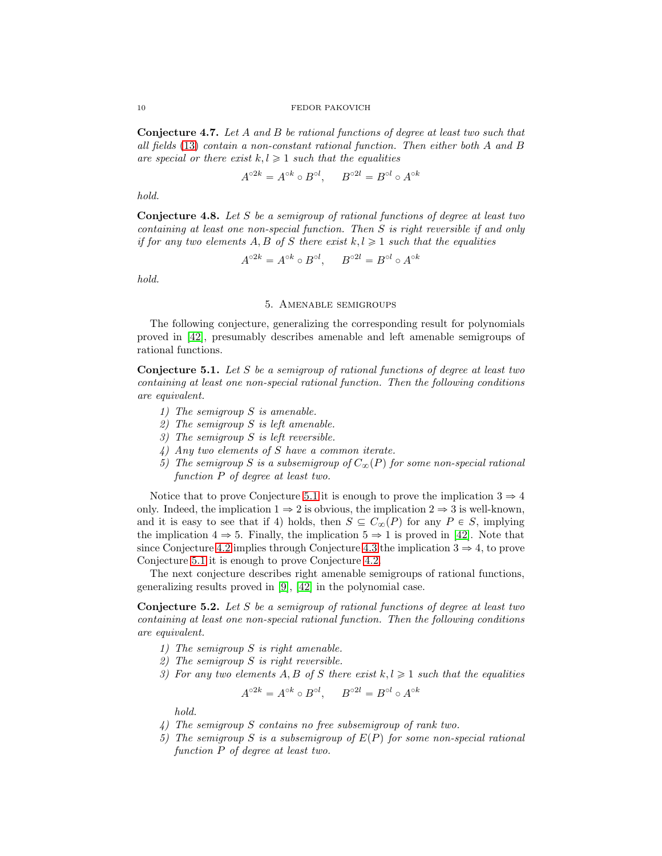10 FEDOR PAKOVICH

Conjecture 4.7. Let A and B be rational functions of degree at least two such that all fields [\(13\)](#page-8-0) contain a non-constant rational function. Then either both A and B are special or there exist  $k, l \geq 1$  such that the equalities

$$
A^{\circ 2k} = A^{\circ k} \circ B^{\circ l}, \qquad B^{\circ 2l} = B^{\circ l} \circ A^{\circ k}
$$

hold.

Conjecture 4.8. Let S be a semigroup of rational functions of degree at least two containing at least one non-special function. Then S is right reversible if and only if for any two elements A, B of S there exist  $k, l \geq 1$  such that the equalities

$$
A^{\circ 2k} = A^{\circ k} \circ B^{\circ l}, \qquad B^{\circ 2l} = B^{\circ l} \circ A^{\circ k}
$$

hold.

## 5. Amenable semigroups

The following conjecture, generalizing the corresponding result for polynomials proved in [\[42\]](#page-11-1), presumably describes amenable and left amenable semigroups of rational functions.

<span id="page-9-0"></span>**Conjecture 5.1.** Let S be a semigroup of rational functions of degree at least two containing at least one non-special rational function. Then the following conditions are equivalent.

- 1) The semigroup S is amenable.
- 2) The semigroup S is left amenable.
- 3) The semigroup S is left reversible.
- 4) Any two elements of S have a common iterate.
- 5) The semigroup S is a subsemigroup of  $C_{\infty}(P)$  for some non-special rational function P of degree at least two.

Notice that to prove Conjecture [5.1](#page-9-0) it is enough to prove the implication  $3 \Rightarrow 4$ only. Indeed, the implication  $1 \Rightarrow 2$  is obvious, the implication  $2 \Rightarrow 3$  is well-known, and it is easy to see that if 4) holds, then  $S \subseteq C_{\infty}(P)$  for any  $P \in S$ , implying the implication  $4 \Rightarrow 5$ . Finally, the implication  $5 \Rightarrow 1$  is proved in [\[42\]](#page-11-1). Note that since Conjecture [4.2](#page-7-2) implies through Conjecture [4.3](#page-7-3) the implication  $3 \Rightarrow 4$ , to prove Conjecture [5.1](#page-9-0) it is enough to prove Conjecture [4.2.](#page-7-2)

The next conjecture describes right amenable semigroups of rational functions, generalizing results proved in [\[9\]](#page-10-2), [\[42\]](#page-11-1) in the polynomial case.

<span id="page-9-1"></span>**Conjecture 5.2.** Let S be a semigroup of rational functions of degree at least two containing at least one non-special rational function. Then the following conditions are equivalent.

- 1) The semigroup S is right amenable.
- 2) The semigroup S is right reversible.
- 3) For any two elements A, B of S there exist  $k, l \geq 1$  such that the equalities

$$
A^{\circ 2k} = A^{\circ k} \circ B^{\circ l}, \qquad B^{\circ 2l} = B^{\circ l} \circ A^{\circ k}
$$

hold.

- 4) The semigroup S contains no free subsemigroup of rank two.
- 5) The semigroup S is a subsemigroup of  $E(P)$  for some non-special rational function P of degree at least two.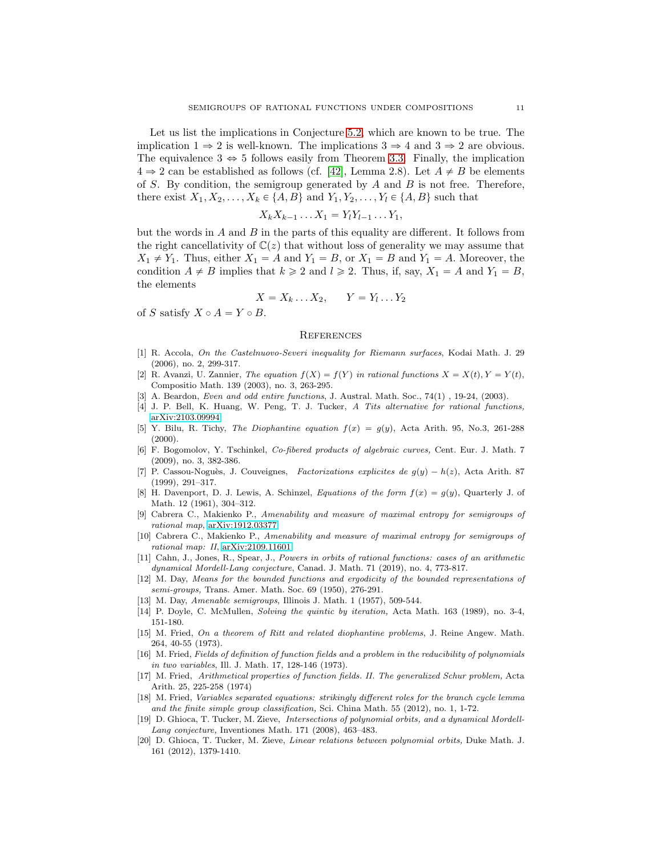Let us list the implications in Conjecture [5.2,](#page-9-1) which are known to be true. The implication  $1 \Rightarrow 2$  is well-known. The implications  $3 \Rightarrow 4$  and  $3 \Rightarrow 2$  are obvious. The equivalence  $3 \Leftrightarrow 5$  follows easily from Theorem [3.3.](#page-5-5) Finally, the implication  $4 \Rightarrow 2$  can be established as follows (cf. [\[42\]](#page-11-1), Lemma 2.8). Let  $A \neq B$  be elements of S. By condition, the semigroup generated by  $A$  and  $B$  is not free. Therefore, there exist  $X_1, X_2, \ldots, X_k \in \{A, B\}$  and  $Y_1, Y_2, \ldots, Y_l \in \{A, B\}$  such that

$$
X_k X_{k-1} \dots X_1 = Y_l Y_{l-1} \dots Y_1,
$$

but the words in  $A$  and  $B$  in the parts of this equality are different. It follows from the right cancellativity of  $\mathbb{C}(z)$  that without loss of generality we may assume that  $X_1 \neq Y_1$ . Thus, either  $X_1 = A$  and  $Y_1 = B$ , or  $X_1 = B$  and  $Y_1 = A$ . Moreover, the condition  $A \neq B$  implies that  $k \geq 2$  and  $l \geq 2$ . Thus, if, say,  $X_1 = A$  and  $Y_1 = B$ , the elements

$$
X = X_k \dots X_2, \qquad Y = Y_l \dots Y_2
$$

of S satisfy  $X \circ A = Y \circ B$ .

#### **REFERENCES**

- <span id="page-10-18"></span>[1] R. Accola, On the Castelnuovo-Severi inequality for Riemann surfaces, Kodai Math. J. 29 (2006), no. 2, 299-317.
- <span id="page-10-6"></span>[2] R. Avanzi, U. Zannier, The equation  $f(X) = f(Y)$  in rational functions  $X = X(t), Y = Y(t)$ , Compositio Math. 139 (2003), no. 3, 263-295.
- <span id="page-10-7"></span><span id="page-10-4"></span>[3] A. Beardon, *Even and odd entire functions*, J. Austral. Math. Soc., 74(1), 19-24, (2003).
- <span id="page-10-8"></span>[4] J. P. Bell, K. Huang, W. Peng, T. J. Tucker, A Tits alternative for rational functions, [arXiv:2103.09994](http://arxiv.org/abs/2103.09994)
- [5] Y. Bilu, R. Tichy, The Diophantine equation  $f(x) = g(y)$ , Acta Arith. 95, No.3, 261-288  $(2000)$ .
- <span id="page-10-19"></span>[6] F. Bogomolov, Y. Tschinkel, Co-fibered products of algebraic curves, Cent. Eur. J. Math. 7 (2009), no. 3, 382-386.
- <span id="page-10-12"></span>[7] P. Cassou-Noguès, J. Couveignes, Factorizations explicites de  $g(y) - h(z)$ , Acta Arith. 87 (1999), 291–317.
- <span id="page-10-9"></span>[8] H. Davenport, D. J. Lewis, A. Schinzel, Equations of the form  $f(x) = g(y)$ , Quarterly J. of Math. 12 (1961), 304–312.
- <span id="page-10-2"></span>[9] Cabrera C., Makienko P., Amenability and measure of maximal entropy for semigroups of rational map, [arXiv:1912.03377.](http://arxiv.org/abs/1912.03377)
- <span id="page-10-3"></span>[10] Cabrera C., Makienko P., Amenability and measure of maximal entropy for semigroups of rational map: II, [arXiv:2109.11601.](http://arxiv.org/abs/2109.11601)
- <span id="page-10-15"></span>[11] Cahn, J., Jones, R., Spear, J., Powers in orbits of rational functions: cases of an arithmetic dynamical Mordell-Lang conjecture, Canad. J. Math. 71 (2019), no. 4, 773-817.
- <span id="page-10-0"></span>[12] M. Day, Means for the bounded functions and ergodicity of the bounded representations of semi-groups, Trans. Amer. Math. Soc. 69 (1950), 276-291.
- <span id="page-10-5"></span><span id="page-10-1"></span>[13] M. Day, Amenable semigroups, Illinois J. Math. 1 (1957), 509-544.
- <span id="page-10-10"></span>[14] P. Doyle, C. McMullen, Solving the quintic by iteration, Acta Math. 163 (1989), no. 3-4, 151-180.
- [15] M. Fried, On a theorem of Ritt and related diophantine problems, J. Reine Angew. Math. 264, 40-55 (1973).
- <span id="page-10-13"></span>[16] M. Fried, Fields of definition of function fields and a problem in the reducibility of polynomials in two variables, Ill. J. Math. 17, 128-146 (1973).
- <span id="page-10-11"></span>[17] M. Fried, Arithmetical properties of function fields. II. The generalized Schur problem, Acta Arith. 25, 225-258 (1974)
- <span id="page-10-14"></span>[18] M. Fried, Variables separated equations: strikingly different roles for the branch cycle lemma and the finite simple group classification, Sci. China Math. 55 (2012), no. 1, 1-72.
- <span id="page-10-16"></span>[19] D. Ghioca, T. Tucker, M. Zieve, Intersections of polynomial orbits, and a dynamical Mordell-Lang conjecture, Inventiones Math. 171 (2008), 463–483.
- <span id="page-10-17"></span>[20] D. Ghioca, T. Tucker, M. Zieve, Linear relations between polynomial orbits, Duke Math. J. 161 (2012), 1379-1410.